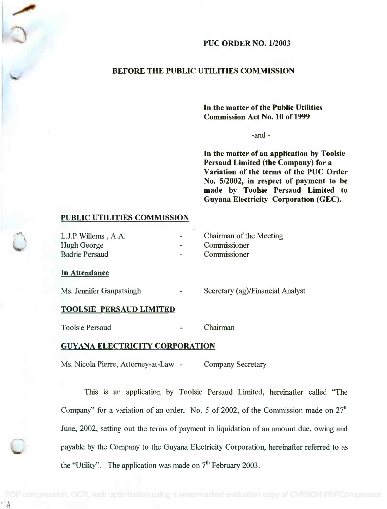# PUC ORDER NO. 1/2003

# BEFORE THE PUBLIC UTILITIES COMMISSION

In the matter of the Public Utilities In the matter of the Public Utilities Commission Act No. 10 of 1999 Commission Act No. 10 of 1999

-and

In the matter of an application by Toolsie In the matter of an application by Toolsie Persaud Limited (the Company) for a Persaud Limited (the Company) for a Variation of the terms of the PUC Order Variation of the terms of the PUC Order No. 5/2002, in respect of payment to be No. 5/2002, in respect of payment to be made by Toolsie Persaud Limited to made by Toolsie Persaud Limited to Guyana Electricity Corporation (GEC). Guyana Electricity Corporation (GEC).

### PUBLIC UTILITIES COMMISSION

| L.J.P. Willems, A.A.  | Chairman of the Meeting |
|-----------------------|-------------------------|
| Hugh George           | Commissioner            |
| <b>Badrie Persaud</b> | Commissioner            |

#### In Attendance

Ms. Jennifer Ganpatsingh Secretary (ag)/Financial Analyst

## TOOLSIE PERSAUD LIMITED

Toolsie Persaud Chairman

## GUYANA ELECTRICITY CORPORATION

Ms. Nicola Pierre, Attorney-at-Law - Company Secretary

This is an application by Toolsie Persaud Limited, hereinafter called "The Company" for a variation of an order, No. 5 of 2002, of the Commission made on  $27<sup>th</sup>$ June, 2002, setting out the terms of payment in liquidation of an amount due, owing and payable by the Company to the Guyana Electricity Corporation, hereinafter referred to as the "Utility". The application was made on  $7<sup>th</sup>$  February 2003.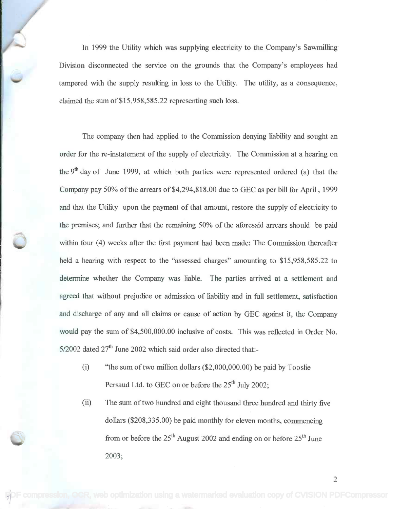In 1999 the Utility which was supplying electricity to the Company's Sawmilling In 1999 the Utility which was supplying electricity to the Company's Sawmilling Division disconnected the service on the grounds that the Company's employees had Division disconnected the service on the grounds that the Company's employees had tampered with the supply resulting in loss to the Utility. The utility, as a consequence, tampered with the supply resulting in loss to the Utility. The utility, as a consequence, claimed the sum of \$15,958,585.22 representing such loss. claimed the sum of\$15,958,585.22 representing such loss.

The company then had applied to the Commission denying liability and sought an The company then had applied to the Commission denying liability and sought an order for the re-instatement of the supply of electricity. The Commission at a hearing on the 9<sup>th</sup> day of June 1999, at which both parties were represented ordered (a) that the Company pay 50% of the arrears of \$4,294,818.00 due to GEC as per bill for April , 1999 Company pay 50% of the arrears of\$4,294,818.00 due to GEC as per bill for April, 1999 and that the Utility upon the payment of that amount, restore the supply of electricity to and that the Utility upon the payment of that amount, restore the supply of electricity to the premises; and further that the remaining 50% of the aforesaid arrears should be paid the premises; and further that the remaining 50% of the aforesaid arrears should be paid within four (4) weeks after the first payment had been made: The Commission thereafter within four (4) weeks after the first payment had been made: The Commission thereafter held a hearing with respect to the "assessed charges" amounting to \$15,958,585.22 to held a hearing with respect to the "assessed charges" amounting to \$15,958,585.22 to determine whether the Company was liable. The parties arrived at a settlement and determine whether the Company was liable. The parties arrived at a settlement and agreed that without prejudice or admission of liability and in full settlement, satisfaction agreed that without prejudice or admission of liability and in full settlement, satisfaction and discharge of any and all claims or cause of action by GEC against it, the Company and discharge of any and all claims or cause of action by GEC against it, the Company would pay the sum of \$4,500,000.00 inclusive of costs. This was reflected in Order No. would pay the sum of \$4,500,000.00 inclusive of costs. This was reflected in Order No. 5/2002 dated 27<sup>th</sup> June 2002 which said order also directed that:-

- (i) "the sum of two million dollars (\$2,000,000.00) be paid by Tooslie ''the sum of two million dollars (\$2,000,000.00) be paid by Tooslie Persaud Ltd. to GEC on or before the 25<sup>th</sup> July 2002;
- (ii) The sum of two hundred and eight thousand three hundred and thirty five The sum of two hundred and eight thousand three hundred and thirty five dollars (\$208,335.00) be paid monthly for eleven months, commencing dollars (\$208,335.00) be paid monthly for eleven months, commencing from or before the  $25<sup>th</sup>$  August 2002 and ending on or before  $25<sup>th</sup>$  June 2003; 2003;

2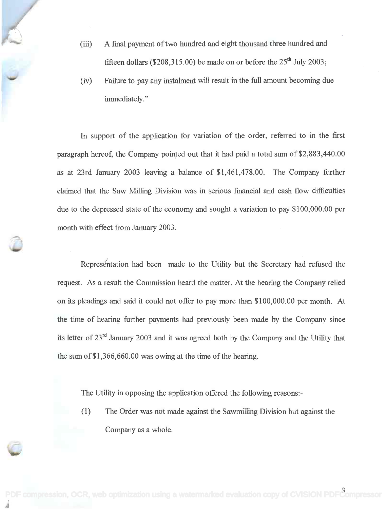- (iii) A final payment of two hundred and eight thousand three hundred and (iii) A final payment of two hundred and eight thousand three hundred and fifteen dollars (\$208,315.00) be made on or before the  $25<sup>th</sup>$  July 2003;
- (iv) Failure to pay any instalment will result in the full amount becoming due (iv) Failure to pay any instalment will result in the full amount becoming due immediately." immediately. "

In support of the application for variation of the order, referred to in the first In support of the application for variation of the order, referred to in the first paragraph hereof, the Company pointed out that it had paid a total sum of \$2,883,440.00 paragraph hereof, the Company pointed out that it had paid a total sum of \$2,883,440.00 as at 23rd January 2003 leaving a balance of \$1,461,478.00. The Company further as at 23rd January 2003 leaving a balance of \$1,461,478.00. The Company further claimed that the Saw Milling Division was in serious financial and cash flow difficulties claimed that the Saw Milling Division was in serious financial and cash flow difficulties due to the depressed state of the economy and sought a variation to pay \$100,000.00 per due to the depressed state of the economy and sought a variation to pay \$100,000.00 per month with effect from January 2003. month with effect from January 2003.

Representation had been made to the Utility but the Secretary had refused the request. As a result the Commission heard the matter. At the hearing the Company relied on its pleadings and said it could not offer to pay more than \$100,000.00 per month. At the time of hearing further payments had previously been made by the Company since the time of hearing further payments had previously been made by the Company since its letter of 23<sup>rd</sup> January 2003 and it was agreed both by the Company and the Utility that the sum of \$1,366,660.00 was owing at the time of the hearing. the sum of\$1,366,660.00 was owing at the time of the hearing.

The Utility in opposing the application offered the following reasons: - The Utility in opposing the application offered the following reasons:-

(1) The Order was not made against the Sawmilling Division but against the (1) The Order was not made against the Sawmilling Division but against the Company as a whole. Company as a whole.

[PDF compression, OCR, web optimization using a watermarked evaluation copy of CVISION PDFCompressor](http://www.cvisiontech.com)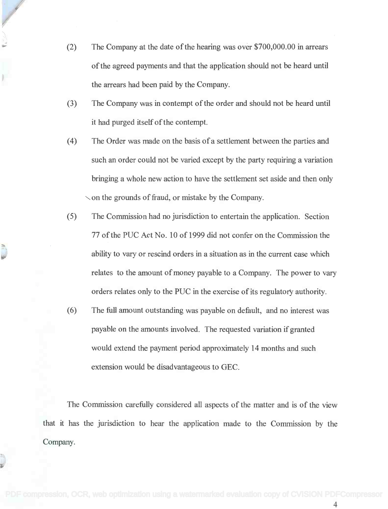- (2) The Company at the date of the hearing was over \$700,000.00 in arrears The Company at the date of the hearing was over \$700,000.00 in arrears of the agreed payments and that the application should not be heard until of the agreed payments and that the application should not be heard until the arrears had been paid by the Company. the arrears had been paid by the Company.
- (3) The Company was in contempt of the order and should not be heard until The Company was in contempt of the order and should not be heard until it had purged itself of the contempt. it had purged itself of the contempt.
- (4) The Order was made on the basis of a settlement between the parties and (4) The Order was made on the basis of a settlement between the parties and such an order could not be varied except by the party requiring a variation such an order could not be varied except by the party requiring a variation bringing a whole new action to have the settlement set aside and then only bringing a whole new action to have the settlement set aside and then only  $\sim$  on the grounds of fraud, or mistake by the Company.
- (5) The Commission had no jurisdiction to entertain the application. Section (5) The Commission had no jurisdiction to entertain the application. Section 77 of the PUC Act No. 10 of 1999 did not confer on the Commission the 77 of the PUC Act No. 10 of 1999 did not confer on the Commission the ability to vary or rescind orders in a situation as in the current case which ability to vary or rescind orders in a situation as in the current case which relates to the amount of money payable to a Company. The power to vary orders relates only to the PUC in the exercise of its regulatory authority. orders relates only to the PUC in the exercise of its regulatory authority.
- (6) The full amount outstanding was payable on default, and no interest was (6) The full amount outstanding was payable on default, and no interest was payable on the amounts involved. The requested variation if granted payable on the amounts involved. The requested variation if granted would extend the payment period approximately 14 months and such would extend the payment period approximately 14 months and such extension would be disadvantageous to GEC.

The Commission carefully considered all aspects of the matter and is of the view The Commission carefully considered all aspects of the matter and is of the view that it has the jurisdiction to hear the application made to the Commission by the that it has the jurisdiction to hear the application made to the Commission by the Company. Company.

4